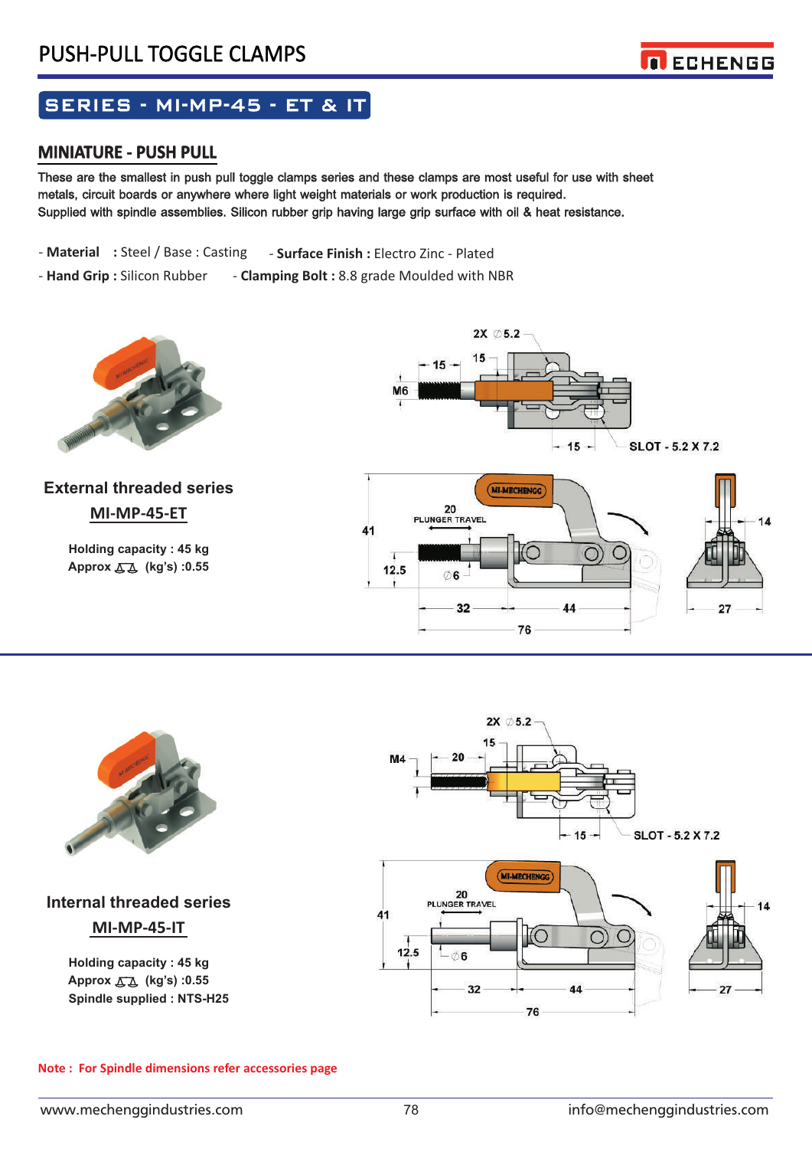

# SERIES - MI-MP-45 - ET & IT

### **MINIATURE - PUSH PULL**

metals, circuit boards or anywhere where light weight materials or work production is required. These are the smallest in push pull toggle clamps series and these clamps are most useful for use with sheet Supplied with spindle assemblies. Silicon rubber grip having large grip surface with oil & heat resistance.

- **Material :** Steel / Base : Casting - **Surface Finish :** Electro Zinc - Plated

 - **Hand Grip :** Silicon Rubber - **Clamping Bolt :** 8.8 grade Moulded with NBR



## **MI-MP-45-ET External threaded series**

**Approx (kg's) :0.55 Holding capacity : 45 kg** 





## **MI-MP-45-IT Internal threaded series**

**Approx (kg's) :0.55 Holding capacity : 45 kg Spindle supplied : NTS-H25** 



#### **Note : For Spindle dimensions refer accessories page**